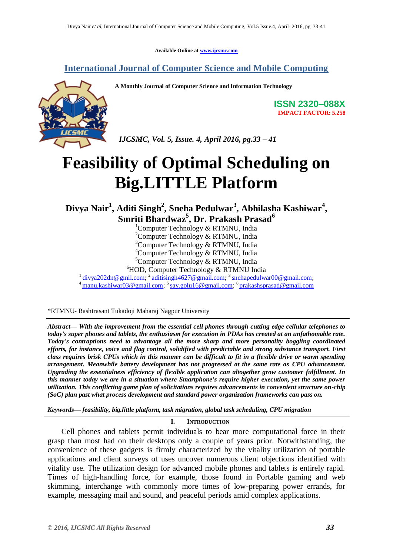**Available Online at [www.ijcsmc.com](http://www.ijcsmc.com/)**

# **International Journal of Computer Science and Mobile Computing**



**A Monthly Journal of Computer Science and Information Technology**

**ISSN 2320–088X IMPACT FACTOR: 5.258**

 *IJCSMC, Vol. 5, Issue. 4, April 2016, pg.33 – 41*

# **Feasibility of Optimal Scheduling on Big.LITTLE Platform**

**Divya Nair<sup>1</sup> , Aditi Singh<sup>2</sup> , Sneha Pedulwar<sup>3</sup> , Abhilasha Kashiwar<sup>4</sup> , Smriti Bhardwaz<sup>5</sup> , Dr. Prakash Prasad<sup>6</sup>**

<sup>1</sup>Computer Technology & RTMNU, India

<sup>2</sup>Computer Technology & RTMNU, India

 $3$ Computer Technology & RTMNU, India

<sup>4</sup>Computer Technology & RTMNU, India

 ${}^5$ Computer Technology & RTMNU, India

 ${}^{6}$ HOD, Computer Technology & RTMNU India

<sup>1</sup> [divya202dn@gmil.com;](mailto:divya202dn@gmil.com) <sup>2</sup> [aditisingh4627@gmail.com;](mailto:aditisingh4627@gmail.com) <sup>3</sup> [snehapedulwar00@gmail.com;](mailto:snehapedulwar00@gmail.com)

<sup>4</sup> [manu.kashiwar03@gmail.com;](mailto:manu.kashiwar03@gmail.com) <sup>5</sup>[say.golu16@gmail.com;](mailto:say.golu16@gmail.com) <sup>6</sup>[prakashsprasad@gmail.com](mailto:prakashsprasad@gmail.com)

\*RTMNU- Rashtrasant Tukadoji Maharaj Nagpur University

*Abstract— With the improvement from the essential cell phones through cutting edge cellular telephones to today's super phones and tablets, the enthusiasm for execution in PDAs has created at an unfathomable rate. Today's contraptions need to advantage all the more sharp and more personality boggling coordinated efforts, for instance, voice and flag control, solidified with predictable and strong substance transport. First class requires brisk CPUs which in this manner can be difficult to fit in a flexible drive or warm spending arrangement. Meanwhile battery development has not progressed at the same rate as CPU advancement. Upgrading the essentialness efficiency of flexible application can altogether grow customer fulfillment. In this manner today we are in a situation where Smartphone's require higher execution, yet the same power utilization. This conflicting game plan of solicitations requires advancements in convenient structure on-chip (SoC) plan past what process development and standard power organization frameworks can pass on.*

*Keywords— feasibility, big.little platform, task migration, global task scheduling, CPU migration*

#### **I. INTRODUCTION**

 Cell phones and tablets permit individuals to bear more computational force in their grasp than most had on their desktops only a couple of years prior. Notwithstanding, the convenience of these gadgets is firmly characterized by the vitality utilization of portable applications and client surveys of uses uncover numerous client objections identified with vitality use. The utilization design for advanced mobile phones and tablets is entirely rapid. Times of high-handling force, for example, those found in Portable gaming and web skimming, interchange with commonly more times of low-preparing power errands, for example, messaging mail and sound, and peaceful periods amid complex applications.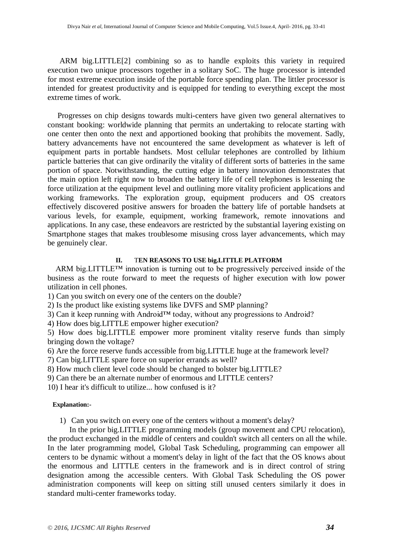ARM big.LITTLE[2] combining so as to handle exploits this variety in required execution two unique processors together in a solitary SoC. The huge processor is intended for most extreme execution inside of the portable force spending plan. The littler processor is intended for greatest productivity and is equipped for tending to everything except the most extreme times of work.

 Progresses on chip designs towards multi-centers have given two general alternatives to constant booking: worldwide planning that permits an undertaking to relocate starting with one center then onto the next and apportioned booking that prohibits the movement. Sadly, battery advancements have not encountered the same development as whatever is left of equipment parts in portable handsets. Most cellular telephones are controlled by lithium particle batteries that can give ordinarily the vitality of different sorts of batteries in the same portion of space. Notwithstanding, the cutting edge in battery innovation demonstrates that the main option left right now to broaden the battery life of cell telephones is lessening the force utilization at the equipment level and outlining more vitality proficient applications and working frameworks. The exploration group, equipment producers and OS creators effectively discovered positive answers for broaden the battery life of portable handsets at various levels, for example, equipment, working framework, remote innovations and applications. In any case, these endeavors are restricted by the substantial layering existing on Smartphone stages that makes troublesome misusing cross layer advancements, which may be genuinely clear.

#### **II.** T**EN REASONS TO USE big.LITTLE PLATFORM**

ARM big.LITTLE™ innovation is turning out to be progressively perceived inside of the business as the route forward to meet the requests of higher execution with low power utilization in cell phones.

1) Can you switch on every one of the centers on the double?

2) Is the product like existing systems like DVFS and SMP planning?

3) Can it keep running with Android™ today, without any progressions to Android?

4) How does big.LITTLE empower higher execution?

5) How does big.LITTLE empower more prominent vitality reserve funds than simply bringing down the voltage?

6) Are the force reserve funds accessible from big.LITTLE huge at the framework level?

7) Can big.LITTLE spare force on superior errands as well?

8) How much client level code should be changed to bolster big.LITTLE?

9) Can there be an alternate number of enormous and LITTLE centers?

10) I hear it's difficult to utilize... how confused is it?

#### **Explanation:-**

1) Can you switch on every one of the centers without a moment's delay?

 In the prior big.LITTLE programming models (group movement and CPU relocation), the product exchanged in the middle of centers and couldn't switch all centers on all the while. In the later programming model, Global Task Scheduling, programming can empower all centers to be dynamic without a moment's delay in light of the fact that the OS knows about the enormous and LITTLE centers in the framework and is in direct control of string designation among the accessible centers. With Global Task Scheduling the OS power administration components will keep on sitting still unused centers similarly it does in standard multi-center frameworks today.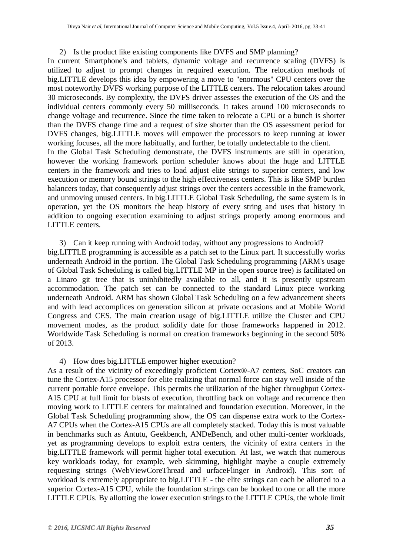#### 2) Is the product like existing components like DVFS and SMP planning?

In current Smartphone's and tablets, dynamic voltage and recurrence scaling (DVFS) is utilized to adjust to prompt changes in required execution. The relocation methods of big.LITTLE develops this idea by empowering a move to "enormous" CPU centers over the most noteworthy DVFS working purpose of the LITTLE centers. The relocation takes around 30 microseconds. By complexity, the DVFS driver assesses the execution of the OS and the individual centers commonly every 50 milliseconds. It takes around 100 microseconds to change voltage and recurrence. Since the time taken to relocate a CPU or a bunch is shorter than the DVFS change time and a request of size shorter than the OS assessment period for DVFS changes, big.LITTLE moves will empower the processors to keep running at lower working focuses, all the more habitually, and further, be totally undetectable to the client. In the Global Task Scheduling demonstrate, the DVFS instruments are still in operation, however the working framework portion scheduler knows about the huge and LITTLE centers in the framework and tries to load adjust elite strings to superior centers, and low execution or memory bound strings to the high effectiveness centers. This is like SMP burden balancers today, that consequently adjust strings over the centers accessible in the framework, and unmoving unused centers. In big.LITTLE Global Task Scheduling, the same system is in operation, yet the OS monitors the heap history of every string and uses that history in addition to ongoing execution examining to adjust strings properly among enormous and LITTLE centers.

#### 3) Can it keep running with Android today, without any progressions to Android?

big.LITTLE programming is accessible as a patch set to the Linux part. It successfully works underneath Android in the portion. The Global Task Scheduling programming (ARM's usage of Global Task Scheduling is called big.LITTLE MP in the open source tree) is facilitated on a Linaro git tree that is uninhibitedly available to all, and it is presently upstream accommodation. The patch set can be connected to the standard Linux piece working underneath Android. ARM has shown Global Task Scheduling on a few advancement sheets and with lead accomplices on generation silicon at private occasions and at Mobile World Congress and CES. The main creation usage of big.LITTLE utilize the Cluster and CPU movement modes, as the product solidify date for those frameworks happened in 2012. Worldwide Task Scheduling is normal on creation frameworks beginning in the second 50% of 2013.

#### 4) How does big.LITTLE empower higher execution?

As a result of the vicinity of exceedingly proficient Cortex®-A7 centers, SoC creators can tune the Cortex-A15 processor for elite realizing that normal force can stay well inside of the current portable force envelope. This permits the utilization of the higher throughput Cortex-A15 CPU at full limit for blasts of execution, throttling back on voltage and recurrence then moving work to LITTLE centers for maintained and foundation execution. Moreover, in the Global Task Scheduling programming show, the OS can dispense extra work to the Cortex-A7 CPUs when the Cortex-A15 CPUs are all completely stacked. Today this is most valuable in benchmarks such as Antutu, Geekbench, ANDeBench, and other multi-center workloads, yet as programming develops to exploit extra centers, the vicinity of extra centers in the big.LITTLE framework will permit higher total execution. At last, we watch that numerous key workloads today, for example, web skimming, highlight maybe a couple extremely requesting strings (WebViewCoreThread and urfaceFlinger in Android). This sort of workload is extremely appropriate to big.LITTLE - the elite strings can each be allotted to a superior Cortex-A15 CPU, while the foundation strings can be booked to one or all the more LITTLE CPUs. By allotting the lower execution strings to the LITTLE CPUs, the whole limit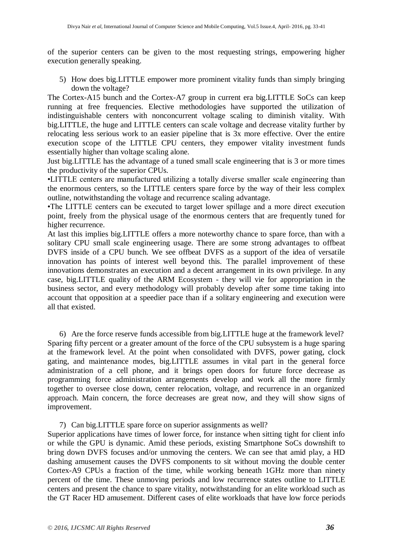of the superior centers can be given to the most requesting strings, empowering higher execution generally speaking.

5) How does big.LITTLE empower more prominent vitality funds than simply bringing down the voltage?

The Cortex-A15 bunch and the Cortex-A7 group in current era big.LITTLE SoCs can keep running at free frequencies. Elective methodologies have supported the utilization of indistinguishable centers with nonconcurrent voltage scaling to diminish vitality. With big.LITTLE, the huge and LITTLE centers can scale voltage and decrease vitality further by relocating less serious work to an easier pipeline that is 3x more effective. Over the entire execution scope of the LITTLE CPU centers, they empower vitality investment funds essentially higher than voltage scaling alone.

Just big.LITTLE has the advantage of a tuned small scale engineering that is 3 or more times the productivity of the superior CPUs.

•LITTLE centers are manufactured utilizing a totally diverse smaller scale engineering than the enormous centers, so the LITTLE centers spare force by the way of their less complex outline, notwithstanding the voltage and recurrence scaling advantage.

•The LITTLE centers can be executed to target lower spillage and a more direct execution point, freely from the physical usage of the enormous centers that are frequently tuned for higher recurrence.

At last this implies big.LITTLE offers a more noteworthy chance to spare force, than with a solitary CPU small scale engineering usage. There are some strong advantages to offbeat DVFS inside of a CPU bunch. We see offbeat DVFS as a support of the idea of versatile innovation has points of interest well beyond this. The parallel improvement of these innovations demonstrates an execution and a decent arrangement in its own privilege. In any case, big.LITTLE quality of the ARM Ecosystem - they will vie for appropriation in the business sector, and every methodology will probably develop after some time taking into account that opposition at a speedier pace than if a solitary engineering and execution were all that existed.

6) Are the force reserve funds accessible from big.LITTLE huge at the framework level? Sparing fifty percent or a greater amount of the force of the CPU subsystem is a huge sparing at the framework level. At the point when consolidated with DVFS, power gating, clock gating, and maintenance modes, big.LITTLE assumes in vital part in the general force administration of a cell phone, and it brings open doors for future force decrease as programming force administration arrangements develop and work all the more firmly together to oversee close down, center relocation, voltage, and recurrence in an organized approach. Main concern, the force decreases are great now, and they will show signs of improvement.

# 7) Can big.LITTLE spare force on superior assignments as well?

Superior applications have times of lower force, for instance when sitting tight for client info or while the GPU is dynamic. Amid these periods, existing Smartphone SoCs downshift to bring down DVFS focuses and/or unmoving the centers. We can see that amid play, a HD dashing amusement causes the DVFS components to sit without moving the double center Cortex-A9 CPUs a fraction of the time, while working beneath 1GHz more than ninety percent of the time. These unmoving periods and low recurrence states outline to LITTLE centers and present the chance to spare vitality, notwithstanding for an elite workload such as the GT Racer HD amusement. Different cases of elite workloads that have low force periods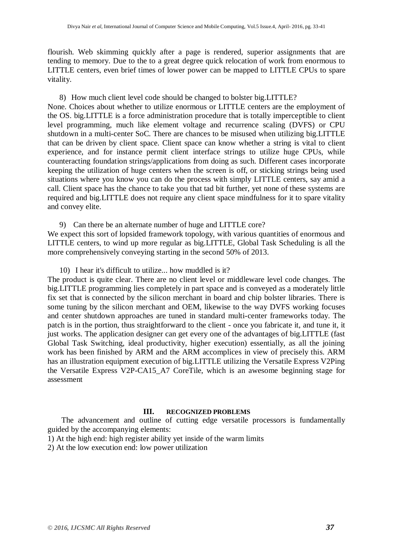flourish. Web skimming quickly after a page is rendered, superior assignments that are tending to memory. Due to the to a great degree quick relocation of work from enormous to LITTLE centers, even brief times of lower power can be mapped to LITTLE CPUs to spare vitality.

8) How much client level code should be changed to bolster big.LITTLE?

None. Choices about whether to utilize enormous or LITTLE centers are the employment of the OS. big.LITTLE is a force administration procedure that is totally imperceptible to client level programming, much like element voltage and recurrence scaling (DVFS) or CPU shutdown in a multi-center SoC. There are chances to be misused when utilizing big.LITTLE that can be driven by client space. Client space can know whether a string is vital to client experience, and for instance permit client interface strings to utilize huge CPUs, while counteracting foundation strings/applications from doing as such. Different cases incorporate keeping the utilization of huge centers when the screen is off, or sticking strings being used situations where you know you can do the process with simply LITTLE centers, say amid a call. Client space has the chance to take you that tad bit further, yet none of these systems are required and big.LITTLE does not require any client space mindfulness for it to spare vitality and convey elite.

9) Can there be an alternate number of huge and LITTLE core?

We expect this sort of lopsided framework topology, with various quantities of enormous and LITTLE centers, to wind up more regular as big.LITTLE, Global Task Scheduling is all the more comprehensively conveying starting in the second 50% of 2013.

10) I hear it's difficult to utilize... how muddled is it?

The product is quite clear. There are no client level or middleware level code changes. The big.LITTLE programming lies completely in part space and is conveyed as a moderately little fix set that is connected by the silicon merchant in board and chip bolster libraries. There is some tuning by the silicon merchant and OEM, likewise to the way DVFS working focuses and center shutdown approaches are tuned in standard multi-center frameworks today. The patch is in the portion, thus straightforward to the client - once you fabricate it, and tune it, it just works. The application designer can get every one of the advantages of big.LITTLE (fast Global Task Switching, ideal productivity, higher execution) essentially, as all the joining work has been finished by ARM and the ARM accomplices in view of precisely this. ARM has an illustration equipment execution of big.LITTLE utilizing the Versatile Express V2Ping the Versatile Express V2P-CA15\_A7 CoreTile, which is an awesome beginning stage for assessment

# **III. RECOGNIZED PROBLEMS**

 The advancement and outline of cutting edge versatile processors is fundamentally guided by the accompanying elements:

1) At the high end: high register ability yet inside of the warm limits

2) At the low execution end: low power utilization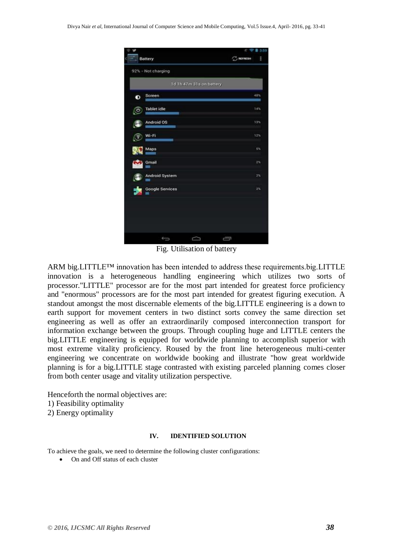|           |                        |                          | c w            | 3.59  |  |
|-----------|------------------------|--------------------------|----------------|-------|--|
|           | <b>Battery</b>         |                          | $\sum$ REFRESH | H     |  |
|           | 92% - Not charging     |                          |                |       |  |
|           |                        | 1d 1h 47m 31s on battery |                |       |  |
| ۰         | Screen                 |                          |                | 48%   |  |
| <u>(o</u> | <b>Tablet idle</b>     |                          |                | 14%   |  |
| re s      | <b>Android OS</b>      |                          |                | 13%   |  |
|           | Wi-Fi                  |                          |                | 12%   |  |
|           | Maps                   |                          |                | $5\%$ |  |
|           | Gmail                  |                          |                | $2\%$ |  |
| <b>A</b>  | <b>Android System</b>  |                          |                | 2%    |  |
| 大         | <b>Google Services</b> |                          |                | 2%    |  |
|           |                        |                          |                |       |  |
|           |                        |                          |                |       |  |
|           |                        |                          |                |       |  |
|           | Û                      | ≏                        | Ū              |       |  |

Fig. Utilisation of battery

ARM big.LITTLE™ innovation has been intended to address these requirements.big.LITTLE innovation is a heterogeneous handling engineering which utilizes two sorts of processor."LITTLE" processor are for the most part intended for greatest force proficiency and "enormous" processors are for the most part intended for greatest figuring execution. A standout amongst the most discernable elements of the big.LITTLE engineering is a down to earth support for movement centers in two distinct sorts convey the same direction set engineering as well as offer an extraordinarily composed interconnection transport for information exchange between the groups. Through coupling huge and LITTLE centers the big.LITTLE engineering is equipped for worldwide planning to accomplish superior with most extreme vitality proficiency. Roused by the front line heterogeneous multi-center engineering we concentrate on worldwide booking and illustrate "how great worldwide planning is for a big.LITTLE stage contrasted with existing parceled planning comes closer from both center usage and vitality utilization perspective.

Henceforth the normal objectives are: 1) Feasibility optimality

2) Energy optimality

#### **IV. IDENTIFIED SOLUTION**

To achieve the goals, we need to determine the following cluster configurations:

• On and Off status of each cluster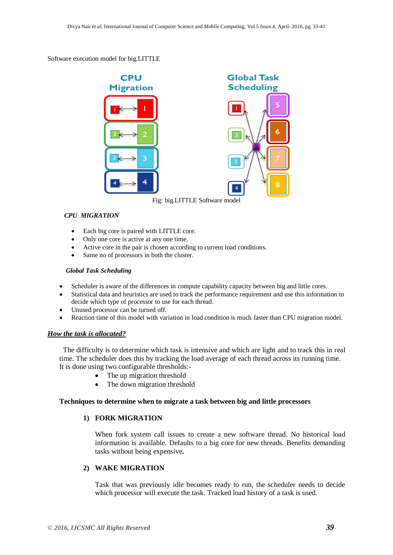#### Software execution model for big.LITTLE



Fig: big.LITTLE Software model

#### *CPU MIGRATION*

- Each big core is paired with LITTLE core.
- Only one core is active at any one time.
- Active core in the pair is chosen according to current load conditions.
- Same no of processors in both the cluster.

#### *Global Task Scheduling*

- Scheduler is aware of the differences in compute capability capacity between big and little cores.
- Statistical data and heuristics are used to track the performance requirement and use this information to decide which type of processor to use for each thread.
- Unused processor can be turned off.
- Reaction time of this model with variation in load condition is much faster than CPU migration model.

# *How the task is allocated?*

 The difficulty is to determine which task is intensive and which are light and to track this in real time. The scheduler does this by tracking the load average of each thread across its running time. It is done using two configurable thresholds:-

- The up migration threshold
- The down migration threshold

#### **Techniques to determine when to migrate a task between big and little processors**

# **1) FORK MIGRATION**

When fork system call issues to create a new software thread. No historical load information is available. Defaults to a big core for new threads. Benefits demanding tasks without being expensive**.**

# **2) WAKE MIGRATION**

Task that was previously idle becomes ready to run, the scheduler needs to decide which processor will execute the task. Tracked load history of a task is used.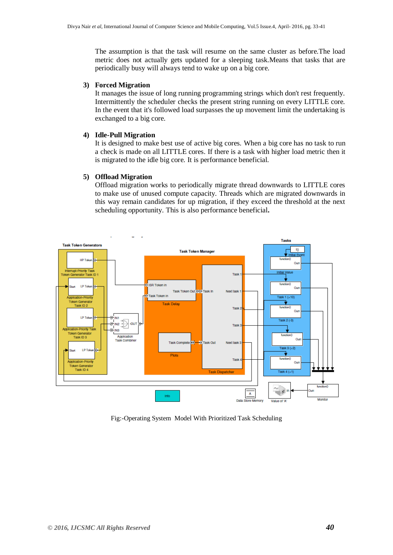The assumption is that the task will resume on the same cluster as before.The load metric does not actually gets updated for a sleeping task.Means that tasks that are periodically busy will always tend to wake up on a big core.

#### **3) Forced Migration**

It manages the issue of long running programming strings which don't rest frequently. Intermittently the scheduler checks the present string running on every LITTLE core. In the event that it's followed load surpasses the up movement limit the undertaking is exchanged to a big core.

#### **4) Idle-Pull Migration**

It is designed to make best use of active big cores. When a big core has no task to run a check is made on all LITTLE cores. If there is a task with higher load metric then it is migrated to the idle big core. It is performance beneficial.

#### **5) Offload Migration**

Offload migration works to periodically migrate thread downwards to LITTLE cores to make use of unused compute capacity. Threads which are migrated downwards in this way remain candidates for up migration, if they exceed the threshold at the next scheduling opportunity. This is also performance beneficial**.**



Fig:-Operating System Model With Prioritized Task Scheduling